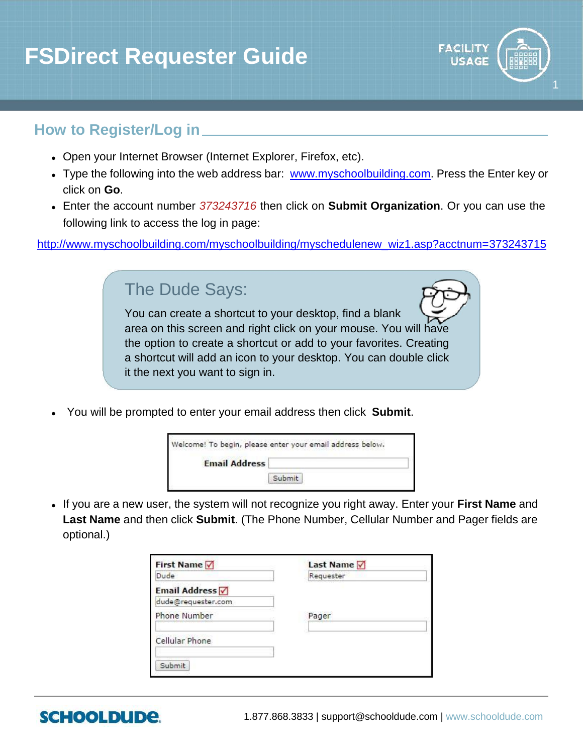# **FSDirect Requester Guide**



### **How to Register/Log in**

- Open your Internet Browser (Internet Explorer, Firefox, etc).
- Type the following into the web address bar: [www.myschoolbuilding.com](http://www.myschoolbuilding.com/). Press the Enter key or click on **Go**.
- Enter the account number *373243716* then click on **Submit Organization**. Or you can use the following link to access the log in page:

[http://www.myschoolbuilding.com/myschoolbuilding/myschedulenew\\_wiz1.asp?acctnum=373243715](http://www.myschoolbuilding.com/myschoolbuilding/myschedulenew_wiz1.asp?acctnum=373243715)

### The Dude Says:

You can create a shortcut to your desktop, find a blank area on this screen and right click on your mouse. You will have the option to create a shortcut or add to your favorites. Creating a shortcut will add an icon to your desktop. You can double click it the next you want to sign in.

You will be prompted to enter your email address then click **Submit**.

|                      | Welcome! To begin, please enter your email address below. |
|----------------------|-----------------------------------------------------------|
| <b>Email Address</b> |                                                           |
|                      | Submit                                                    |

 If you are a new user, the system will not recognize you right away. Enter your **First Name** and **Last Name** and then click **Submit**. (The Phone Number, Cellular Number and Pager fields are optional.)

| <b>First Name</b>   | <b>Last Name</b> |
|---------------------|------------------|
| Dude                | Requester        |
| Email Address √     |                  |
| dude@requester.com  |                  |
| <b>Phone Number</b> | Pager            |
| Cellular Phone      |                  |
| Submit              |                  |

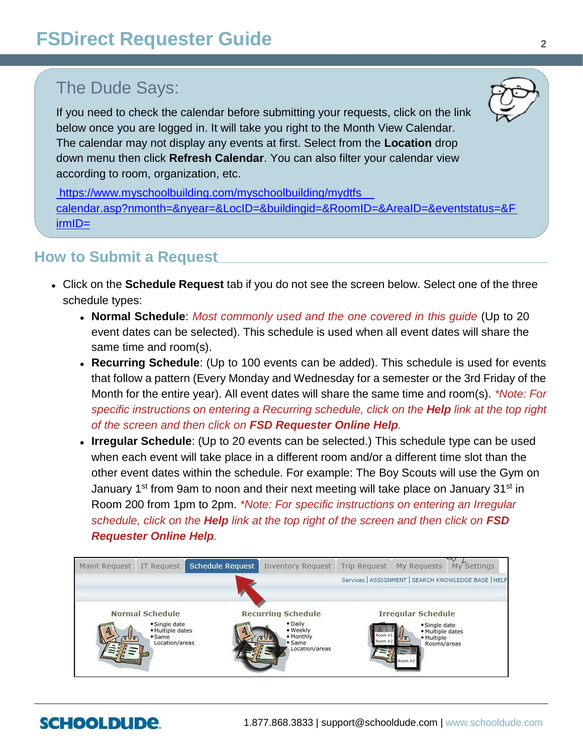## The Dude Says:

If you need to check the calendar before submitting your requests, click on the link below once you are logged in. It will take you right to the Month View Calendar. The calendar may not display any events at first. Select from the **Location** drop down menu then click **Refresh Calendar**. You can also filter your calendar view according to room, organization, etc.

[https://www.myschoolbuilding.com/myschoolbuilding/mydtfs\\_](https://www.myschoolbuilding.com/myschoolbuilding/mydtfs_calendar.asp?nmonth=&nyear=&LocID=&buildingid=&RoomID=&AreaID=&eventstatus=&FirmID=)  [calendar.asp?nmonth=&nyear=&LocID=&buildingid=&RoomID=&AreaID=&eventstatus=&F](https://www.myschoolbuilding.com/myschoolbuilding/mydtfs_calendar.asp?nmonth=&nyear=&LocID=&buildingid=&RoomID=&AreaID=&eventstatus=&FirmID=)  [irmID=](https://www.myschoolbuilding.com/myschoolbuilding/mydtfs_calendar.asp?nmonth=&nyear=&LocID=&buildingid=&RoomID=&AreaID=&eventstatus=&FirmID=)

### **How to Submit a Request**

- Click on the **Schedule Request** tab if you do not see the screen below. Select one of the three schedule types:
	- **Normal Schedule**: *Most commonly used and the one covered in this guide* (Up to 20 event dates can be selected). This schedule is used when all event dates will share the same time and room(s).
	- **Recurring Schedule**: (Up to 100 events can be added). This schedule is used for events that follow a pattern (Every Monday and Wednesday for a semester or the 3rd Friday of the Month for the entire year). All event dates will share the same time and room(s). *\*Note: For specific instructions on entering a Recurring schedule, click on the Help link at the top right of the screen and then click on FSD Requester Online Help.*
	- **Irregular Schedule**: (Up to 20 events can be selected.) This schedule type can be used when each event will take place in a different room and/or a different time slot than the other event dates within the schedule. For example: The Boy Scouts will use the Gym on January 1st from 9am to noon and their next meeting will take place on January 31st in Room 200 from 1pm to 2pm. *\*Note: For specific instructions on entering an Irregular schedule, click on the Help link at the top right of the screen and then click on FSD Requester Online Help.*



# **SCHOOLDUDE**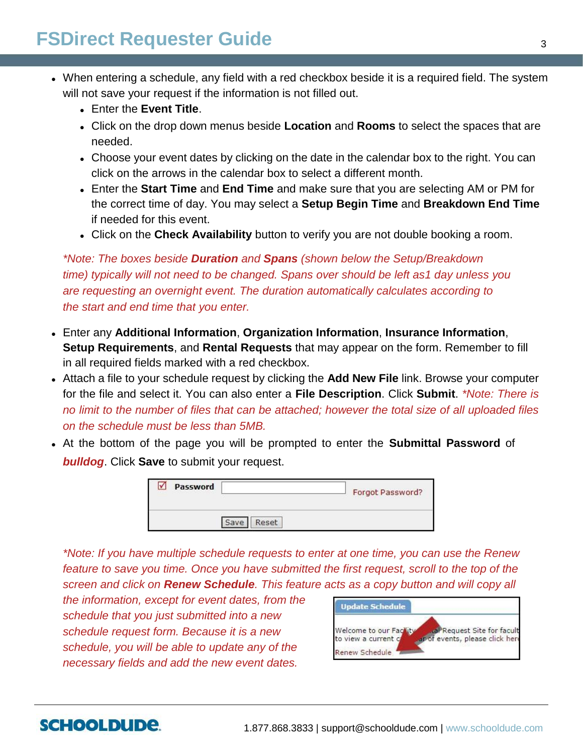- When entering a schedule, any field with a red checkbox beside it is a required field. The system will not save your request if the information is not filled out.
	- Enter the **Event Title**.
	- Click on the drop down menus beside **Location** and **Rooms** to select the spaces that are needed.
	- Choose your event dates by clicking on the date in the calendar box to the right. You can click on the arrows in the calendar box to select a different month.
	- Enter the **Start Time** and **End Time** and make sure that you are selecting AM or PM for the correct time of day. You may select a **Setup Begin Time** and **Breakdown End Time** if needed for this event.
	- Click on the **Check Availability** button to verify you are not double booking a room.

*\*Note: The boxes beside Duration and Spans (shown below the Setup/Breakdown time) typically will not need to be changed. Spans over should be left as1 day unless you are requesting an overnight event. The duration automatically calculates according to the start and end time that you enter.*

- Enter any **Additional Information**, **Organization Information**, **Insurance Information**, **Setup Requirements**, and **Rental Requests** that may appear on the form. Remember to fill in all required fields marked with a red checkbox.
- Attach a file to your schedule request by clicking the **Add New File** link. Browse your computer for the file and select it. You can also enter a **File Description**. Click **Submit**. *\*Note: There is no limit to the number of files that can be attached; however the total size of all uploaded files on the schedule must be less than 5MB.*
- At the bottom of the page you will be prompted to enter the **Submittal Password** of *bulldog*. Click **Save** to submit your request.

| Password<br>Only in the company's control of the | Forgot Password? |
|--------------------------------------------------|------------------|
| Reset<br>Save                                    |                  |

*\*Note: If you have multiple schedule requests to enter at one time, you can use the Renew feature to save you time. Once you have submitted the first request, scroll to the top of the screen and click on Renew Schedule. This feature acts as a copy button and will copy all* 

*the information, except for event dates, from the schedule that you just submitted into a new schedule request form. Because it is a new schedule, you will be able to update any of the necessary fields and add the new event dates.* 

**SCHOOLDUDE** 



#### 1.877.868.3833 | support@schooldude.com | www.schooldude.com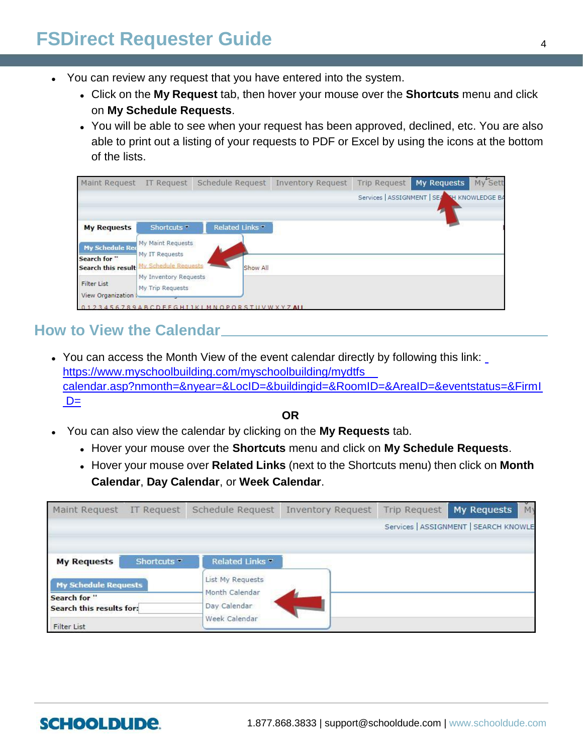# **FSDirect Requester Guide** <sup>4</sup>

- You can review any request that you have entered into the system.
	- Click on the **My Request** tab, then hover your mouse over the **Shortcuts** menu and click on **My Schedule Requests**.
	- You will be able to see when your request has been approved, declined, etc. You are also able to print out a listing of your requests to PDF or Excel by using the icons at the bottom of the lists.

| Maint Request                                                | IT Request                                                  | Schedule Request                      | <b>Inventory Request</b> | Trip Request | My Requests                                 | My Sett |
|--------------------------------------------------------------|-------------------------------------------------------------|---------------------------------------|--------------------------|--------------|---------------------------------------------|---------|
|                                                              |                                                             |                                       |                          |              | Services   ASSIGNMENT   SEA NH KNOWLEDGE BA |         |
| <b>My Requests</b>                                           | Shortcuts <sup>-</sup>                                      | Related Links                         |                          |              |                                             |         |
| <b>My Schedule Red</b><br>Search for "<br>Search this result | My Maint Requests<br>My IT Requests<br>My Schedule Requests | Show All                              |                          |              |                                             |         |
| <b>Filter List</b><br>View Organization                      | My Inventory Requests<br>My Trip Requests                   |                                       |                          |              |                                             |         |
|                                                              |                                                             | 23456789ABCDFFGHIJKIMNOPORSTUVWXYZAII |                          |              |                                             |         |

### **How to View the Calendar**

 You can access the Month View of the event calendar directly by following this link: [https://www.myschoolbuilding.com/myschoolbuilding/mydtfs\\_](https://www.myschoolbuilding.com/myschoolbuilding/mydtfs_calendar.asp?nmonth=&nyear=&LocID=&buildingid=&RoomID=&AreaID=&eventstatus=&FirmID=)  [calendar.asp?nmonth=&nyear=&LocID=&buildingid=&RoomID=&AreaID=&eventstatus=&FirmI](https://www.myschoolbuilding.com/myschoolbuilding/mydtfs_calendar.asp?nmonth=&nyear=&LocID=&buildingid=&RoomID=&AreaID=&eventstatus=&FirmID=)  $D=$ 

**OR**

- You can also view the calendar by clicking on the **My Requests** tab.
	- Hover your mouse over the **Shortcuts** menu and click on **My Schedule Requests**.
	- Hover your mouse over **Related Links** (next to the Shortcuts menu) then click on **Month Calendar**, **Day Calendar**, or **Week Calendar**.

| Maint Request                                                                                 | <b>IT Request</b>      | Schedule Request               | <b>Inventory Request</b> | <b>Trip Request</b> | My Requests                           | M |
|-----------------------------------------------------------------------------------------------|------------------------|--------------------------------|--------------------------|---------------------|---------------------------------------|---|
|                                                                                               |                        |                                |                          |                     | Services   ASSIGNMENT   SEARCH KNOWLE |   |
| <b>My Requests</b>                                                                            | Shortcuts <sup>-</sup> | Related Links <sup>-</sup>     |                          |                     |                                       |   |
| <b>My Schedule Requests</b><br>Search for "<br>Search this results for:<br><b>Filter List</b> |                        | List My Requests               |                          |                     |                                       |   |
|                                                                                               |                        | Month Calendar<br>Day Calendar |                          |                     |                                       |   |
|                                                                                               |                        | Week Calendar                  |                          |                     |                                       |   |